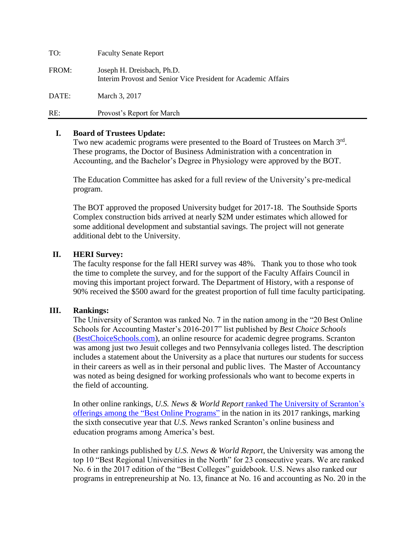| TO:   | <b>Faculty Senate Report</b>                                                                 |
|-------|----------------------------------------------------------------------------------------------|
| FROM: | Joseph H. Dreisbach, Ph.D.<br>Interim Provost and Senior Vice President for Academic Affairs |
| DATE: | March 3, 2017                                                                                |
| RE:   | Provost's Report for March                                                                   |

#### **I. Board of Trustees Update:**

Two new academic programs were presented to the Board of Trustees on March 3rd. These programs, the Doctor of Business Administration with a concentration in Accounting, and the Bachelor's Degree in Physiology were approved by the BOT.

The Education Committee has asked for a full review of the University's pre-medical program.

The BOT approved the proposed University budget for 2017-18. The Southside Sports Complex construction bids arrived at nearly \$2M under estimates which allowed for some additional development and substantial savings. The project will not generate additional debt to the University.

## **II. HERI Survey:**

The faculty response for the fall HERI survey was 48%. Thank you to those who took the time to complete the survey, and for the support of the Faculty Affairs Council in moving this important project forward. The Department of History, with a response of 90% received the \$500 award for the greatest proportion of full time faculty participating.

#### **III. Rankings:**

The University of Scranton was ranked No. 7 in the nation among in the "20 Best Online Schools for Accounting Master's 2016-2017" list published by *Best Choice Schools* [\(BestChoiceSchools.com\)](http://www.bestchoiceschools.com/), an online resource for academic degree programs. Scranton was among just two Jesuit colleges and two Pennsylvania colleges listed. The description includes a statement about the University as a place that nurtures our students for success in their careers as well as in their personal and public lives. The Master of Accountancy was noted as being designed for working professionals who want to become experts in the field of accounting.

In other online rankings, *U.S. News & World Report* ranked The University of [Scranton's](http://www.usnews.com/education/online-education/university-of-scranton-215929/overall-rankings) offerings among the "Best Online [Programs"](http://www.usnews.com/education/online-education/university-of-scranton-215929/overall-rankings) in the nation in its 2017 rankings, marking the sixth consecutive year that *U.S. News* ranked Scranton's online business and education programs among America's best.

In other rankings published by *U.S. News & World Report*, the University was among the top 10 "Best Regional Universities in the North" for 23 consecutive years. We are ranked No. 6 in the 2017 edition of the "Best Colleges" guidebook. U.S. News also ranked our programs in entrepreneurship at No. 13, finance at No. 16 and accounting as No. 20 in the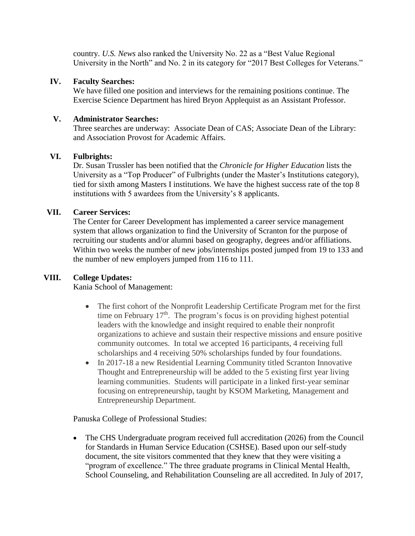country. *U.S. News* also ranked the University No. 22 as a "Best Value Regional University in the North" and No. 2 in its category for "2017 Best Colleges for Veterans."

## **IV. Faculty Searches:**

We have filled one position and interviews for the remaining positions continue. The Exercise Science Department has hired Bryon Applequist as an Assistant Professor.

## **V. Administrator Searches:**

Three searches are underway: Associate Dean of CAS; Associate Dean of the Library: and Association Provost for Academic Affairs.

## **VI. Fulbrights:**

Dr. Susan Trussler has been notified that the *Chronicle for Higher Education* lists the University as a "Top Producer" of Fulbrights (under the Master's Institutions category), tied for sixth among Masters I institutions. We have the highest success rate of the top 8 institutions with 5 awardees from the University's 8 applicants.

#### **VII. Career Services:**

The Center for Career Development has implemented a career service management system that allows organization to find the University of Scranton for the purpose of recruiting our students and/or alumni based on geography, degrees and/or affiliations. Within two weeks the number of new jobs/internships posted jumped from 19 to 133 and the number of new employers jumped from 116 to 111.

# **VIII. College Updates:**

Kania School of Management:

- The first cohort of the Nonprofit Leadership Certificate Program met for the first time on February  $17<sup>th</sup>$ . The program's focus is on providing highest potential leaders with the knowledge and insight required to enable their nonprofit organizations to achieve and sustain their respective missions and ensure positive community outcomes. In total we accepted 16 participants, 4 receiving full scholarships and 4 receiving 50% scholarships funded by four foundations.
- In 2017-18 a new Residential Learning Community titled Scranton Innovative Thought and Entrepreneurship will be added to the 5 existing first year living learning communities. Students will participate in a linked first-year seminar focusing on entrepreneurship, taught by KSOM Marketing, Management and Entrepreneurship Department.

Panuska College of Professional Studies:

• The CHS Undergraduate program received full accreditation (2026) from the Council for Standards in Human Service Education (CSHSE). Based upon our self-study document, the site visitors commented that they knew that they were visiting a "program of excellence." The three graduate programs in Clinical Mental Health, School Counseling, and Rehabilitation Counseling are all accredited. In July of 2017,